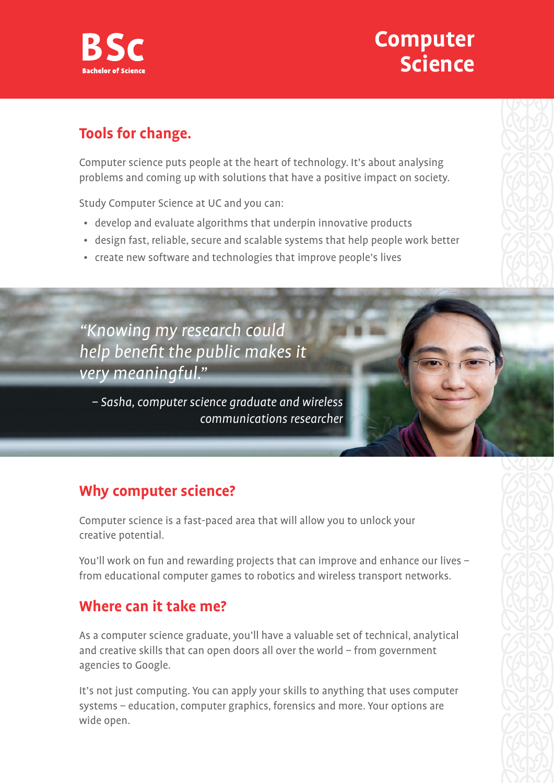

## **Computer Science**

#### **Tools for change.**

Computer science puts people at the heart of technology. It's about analysing problems and coming up with solutions that have a positive impact on society.

Study Computer Science at UC and you can:

- develop and evaluate algorithms that underpin innovative products
- design fast, reliable, secure and scalable systems that help people work better
- create new software and technologies that improve people's lives

"Knowing my research could help benefit the public makes it very meaningful."

– Sasha, computer science graduate and wireless communications researcher

## **Why computer science?**

Computer science is a fast-paced area that will allow you to unlock your creative potential.

You'll work on fun and rewarding projects that can improve and enhance our lives – from educational computer games to robotics and wireless transport networks.

#### **Where can it take me?**

As a computer science graduate, you'll have a valuable set of technical, analytical and creative skills that can open doors all over the world – from government agencies to Google.

It's not just computing. You can apply your skills to anything that uses computer systems – education, computer graphics, forensics and more. Your options are wide open.